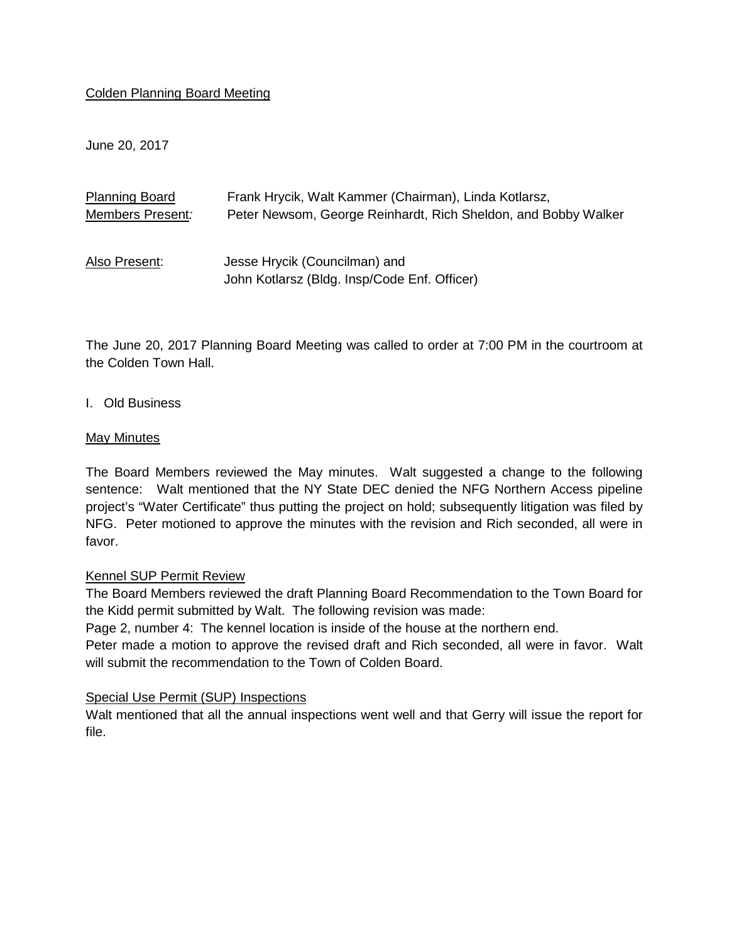# Colden Planning Board Meeting

June 20, 2017

| <b>Planning Board</b> | Frank Hrycik, Walt Kammer (Chairman), Linda Kotlarsz,                         |
|-----------------------|-------------------------------------------------------------------------------|
| Members Present:      | Peter Newsom, George Reinhardt, Rich Sheldon, and Bobby Walker                |
| Also Present:         | Jesse Hrycik (Councilman) and<br>John Kotlarsz (Bldg. Insp/Code Enf. Officer) |

The June 20, 2017 Planning Board Meeting was called to order at 7:00 PM in the courtroom at the Colden Town Hall.

I. Old Business

## May Minutes

The Board Members reviewed the May minutes. Walt suggested a change to the following sentence: Walt mentioned that the NY State DEC denied the NFG Northern Access pipeline project's "Water Certificate" thus putting the project on hold; subsequently litigation was filed by NFG. Peter motioned to approve the minutes with the revision and Rich seconded, all were in favor.

#### Kennel SUP Permit Review

The Board Members reviewed the draft Planning Board Recommendation to the Town Board for the Kidd permit submitted by Walt. The following revision was made:

Page 2, number 4: The kennel location is inside of the house at the northern end.

Peter made a motion to approve the revised draft and Rich seconded, all were in favor. Walt will submit the recommendation to the Town of Colden Board.

#### Special Use Permit (SUP) Inspections

Walt mentioned that all the annual inspections went well and that Gerry will issue the report for file.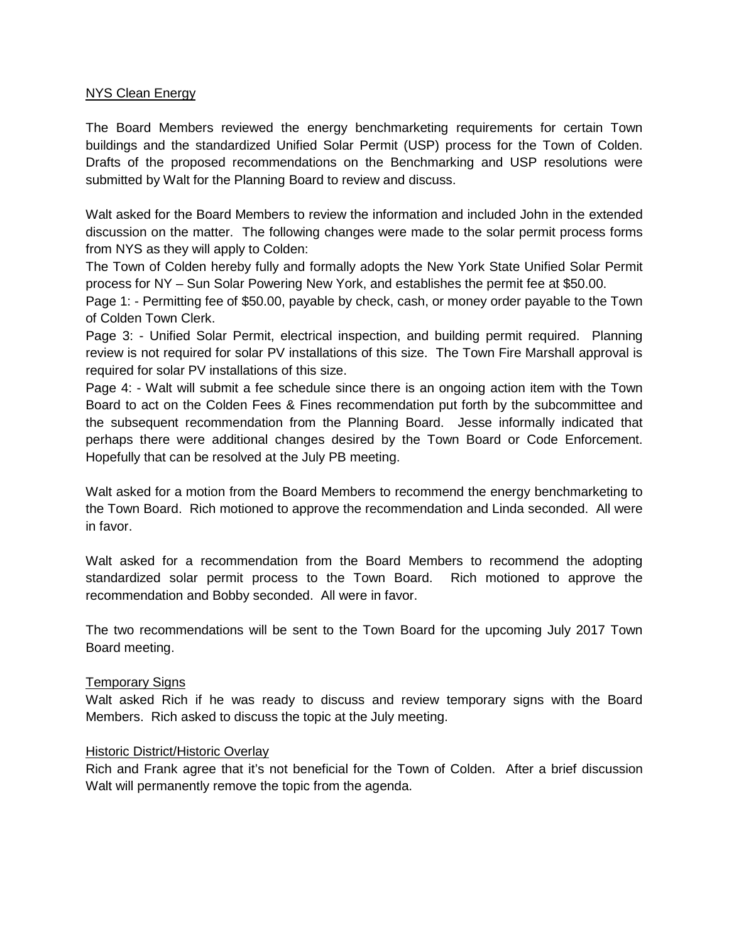## NYS Clean Energy

The Board Members reviewed the energy benchmarketing requirements for certain Town buildings and the standardized Unified Solar Permit (USP) process for the Town of Colden. Drafts of the proposed recommendations on the Benchmarking and USP resolutions were submitted by Walt for the Planning Board to review and discuss.

Walt asked for the Board Members to review the information and included John in the extended discussion on the matter. The following changes were made to the solar permit process forms from NYS as they will apply to Colden:

The Town of Colden hereby fully and formally adopts the New York State Unified Solar Permit process for NY – Sun Solar Powering New York, and establishes the permit fee at \$50.00.

Page 1: - Permitting fee of \$50.00, payable by check, cash, or money order payable to the Town of Colden Town Clerk.

Page 3: - Unified Solar Permit, electrical inspection, and building permit required. Planning review is not required for solar PV installations of this size. The Town Fire Marshall approval is required for solar PV installations of this size.

Page 4: - Walt will submit a fee schedule since there is an ongoing action item with the Town Board to act on the Colden Fees & Fines recommendation put forth by the subcommittee and the subsequent recommendation from the Planning Board. Jesse informally indicated that perhaps there were additional changes desired by the Town Board or Code Enforcement. Hopefully that can be resolved at the July PB meeting.

Walt asked for a motion from the Board Members to recommend the energy benchmarketing to the Town Board. Rich motioned to approve the recommendation and Linda seconded. All were in favor.

Walt asked for a recommendation from the Board Members to recommend the adopting standardized solar permit process to the Town Board. Rich motioned to approve the recommendation and Bobby seconded. All were in favor.

The two recommendations will be sent to the Town Board for the upcoming July 2017 Town Board meeting.

# Temporary Signs

Walt asked Rich if he was ready to discuss and review temporary signs with the Board Members. Rich asked to discuss the topic at the July meeting.

#### Historic District/Historic Overlay

Rich and Frank agree that it's not beneficial for the Town of Colden. After a brief discussion Walt will permanently remove the topic from the agenda.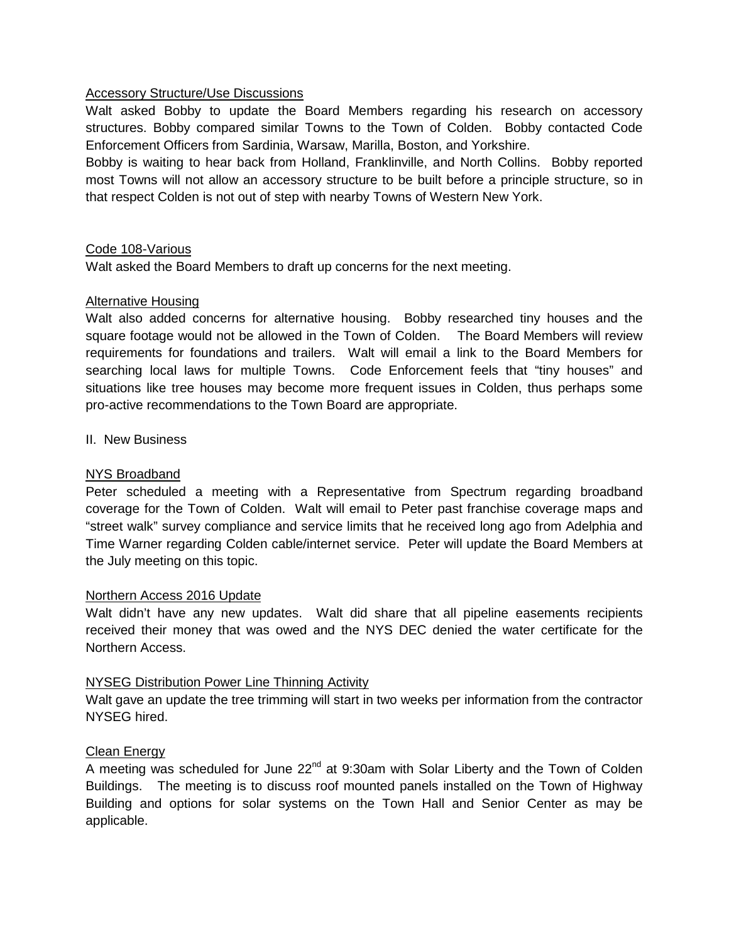## Accessory Structure/Use Discussions

Walt asked Bobby to update the Board Members regarding his research on accessory structures. Bobby compared similar Towns to the Town of Colden. Bobby contacted Code Enforcement Officers from Sardinia, Warsaw, Marilla, Boston, and Yorkshire.

Bobby is waiting to hear back from Holland, Franklinville, and North Collins. Bobby reported most Towns will not allow an accessory structure to be built before a principle structure, so in that respect Colden is not out of step with nearby Towns of Western New York.

## Code 108-Various

Walt asked the Board Members to draft up concerns for the next meeting.

## Alternative Housing

Walt also added concerns for alternative housing. Bobby researched tiny houses and the square footage would not be allowed in the Town of Colden. The Board Members will review requirements for foundations and trailers. Walt will email a link to the Board Members for searching local laws for multiple Towns. Code Enforcement feels that "tiny houses" and situations like tree houses may become more frequent issues in Colden, thus perhaps some pro-active recommendations to the Town Board are appropriate.

## II. New Business

## NYS Broadband

Peter scheduled a meeting with a Representative from Spectrum regarding broadband coverage for the Town of Colden. Walt will email to Peter past franchise coverage maps and "street walk" survey compliance and service limits that he received long ago from Adelphia and Time Warner regarding Colden cable/internet service. Peter will update the Board Members at the July meeting on this topic.

#### Northern Access 2016 Update

Walt didn't have any new updates. Walt did share that all pipeline easements recipients received their money that was owed and the NYS DEC denied the water certificate for the Northern Access.

# NYSEG Distribution Power Line Thinning Activity

Walt gave an update the tree trimming will start in two weeks per information from the contractor NYSEG hired.

#### Clean Energy

A meeting was scheduled for June  $22<sup>nd</sup>$  at 9:30am with Solar Liberty and the Town of Colden Buildings. The meeting is to discuss roof mounted panels installed on the Town of Highway Building and options for solar systems on the Town Hall and Senior Center as may be applicable.